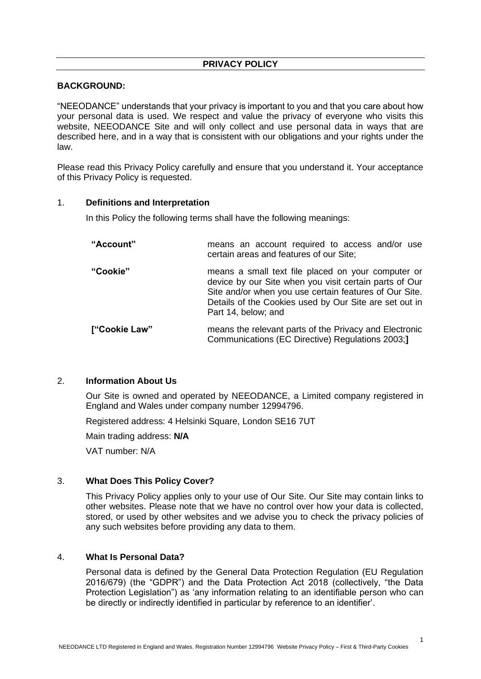# **PRIVACY POLICY**

### **BACKGROUND:**

"NEEODANCE" understands that your privacy is important to you and that you care about how your personal data is used. We respect and value the privacy of everyone who visits this website, NEEODANCE Site and will only collect and use personal data in ways that are described here, and in a way that is consistent with our obligations and your rights under the law.

Please read this Privacy Policy carefully and ensure that you understand it. Your acceptance of this Privacy Policy is requested.

#### 1. **Definitions and Interpretation**

In this Policy the following terms shall have the following meanings:

| "Account"            | means an account required to access and/or use<br>certain areas and features of our Site;                                                                                                                                                               |
|----------------------|---------------------------------------------------------------------------------------------------------------------------------------------------------------------------------------------------------------------------------------------------------|
| "Cookie"             | means a small text file placed on your computer or<br>device by our Site when you visit certain parts of Our<br>Site and/or when you use certain features of Our Site.<br>Details of the Cookies used by Our Site are set out in<br>Part 14, below; and |
| <b>["Cookie Law"</b> | means the relevant parts of the Privacy and Electronic<br>Communications (EC Directive) Regulations 2003;]                                                                                                                                              |

#### 2. **Information About Us**

Our Site is owned and operated by NEEODANCE, a Limited company registered in England and Wales under company number 12994796.

Registered address: 4 Helsinki Square, London SE16 7UT

Main trading address: **N/A**

VAT number: N/A

# 3. **What Does This Policy Cover?**

This Privacy Policy applies only to your use of Our Site. Our Site may contain links to other websites. Please note that we have no control over how your data is collected, stored, or used by other websites and we advise you to check the privacy policies of any such websites before providing any data to them.

#### 4. **What Is Personal Data?**

Personal data is defined by the General Data Protection Regulation (EU Regulation 2016/679) (the "GDPR") and the Data Protection Act 2018 (collectively, "the Data Protection Legislation") as 'any information relating to an identifiable person who can be directly or indirectly identified in particular by reference to an identifier'.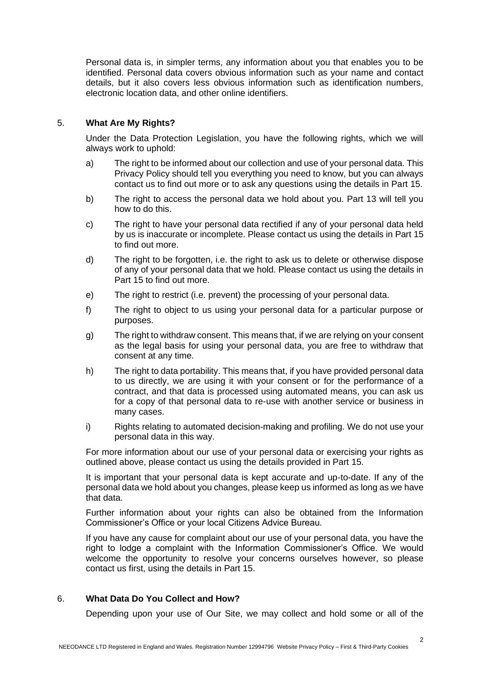Personal data is, in simpler terms, any information about you that enables you to be identified. Personal data covers obvious information such as your name and contact details, but it also covers less obvious information such as identification numbers, electronic location data, and other online identifiers.

# 5. **What Are My Rights?**

Under the Data Protection Legislation, you have the following rights, which we will always work to uphold:

- a) The right to be informed about our collection and use of your personal data. This Privacy Policy should tell you everything you need to know, but you can always contact us to find out more or to ask any questions using the details in Part 15.
- b) The right to access the personal data we hold about you. Part 13 will tell you how to do this.
- c) The right to have your personal data rectified if any of your personal data held by us is inaccurate or incomplete. Please contact us using the details in Part 15 to find out more.
- d) The right to be forgotten, i.e. the right to ask us to delete or otherwise dispose of any of your personal data that we hold. Please contact us using the details in Part 15 to find out more.
- e) The right to restrict (i.e. prevent) the processing of your personal data.
- f) The right to object to us using your personal data for a particular purpose or purposes.
- g) The right to withdraw consent. This means that, if we are relying on your consent as the legal basis for using your personal data, you are free to withdraw that consent at any time.
- h) The right to data portability. This means that, if you have provided personal data to us directly, we are using it with your consent or for the performance of a contract, and that data is processed using automated means, you can ask us for a copy of that personal data to re-use with another service or business in many cases.
- i) Rights relating to automated decision-making and profiling. We do not use your personal data in this way.

For more information about our use of your personal data or exercising your rights as outlined above, please contact us using the details provided in Part 15.

It is important that your personal data is kept accurate and up-to-date. If any of the personal data we hold about you changes, please keep us informed as long as we have that data.

Further information about your rights can also be obtained from the Information Commissioner's Office or your local Citizens Advice Bureau.

If you have any cause for complaint about our use of your personal data, you have the right to lodge a complaint with the Information Commissioner's Office. We would welcome the opportunity to resolve your concerns ourselves however, so please contact us first, using the details in Part 15.

# 6. **What Data Do You Collect and How?**

Depending upon your use of Our Site, we may collect and hold some or all of the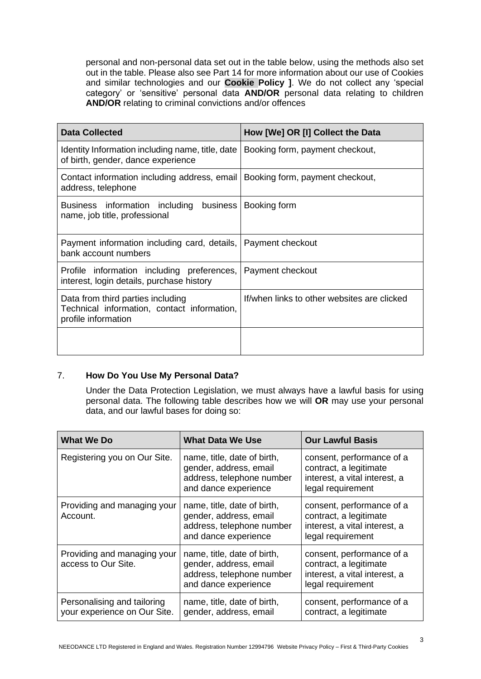personal and non-personal data set out in the table below, using the methods also set out in the table. Please also see Part 14 for more information about our use of Cookies and similar technologies and our **Cookie Policy ]**. We do not collect any 'special category' or 'sensitive' personal data **AND/OR** personal data relating to children **AND/OR** relating to criminal convictions and/or offences

| <b>Data Collected</b>                                                                                   | How [We] OR [I] Collect the Data            |  |
|---------------------------------------------------------------------------------------------------------|---------------------------------------------|--|
| Identity Information including name, title, date<br>of birth, gender, dance experience                  | Booking form, payment checkout,             |  |
| Contact information including address, email<br>address, telephone                                      | Booking form, payment checkout,             |  |
| business<br>Business information including<br>name, job title, professional                             | Booking form                                |  |
| Payment information including card, details,<br>bank account numbers                                    | Payment checkout                            |  |
| Profile information including preferences,<br>interest, login details, purchase history                 | Payment checkout                            |  |
| Data from third parties including<br>Technical information, contact information,<br>profile information | If/when links to other websites are clicked |  |
|                                                                                                         |                                             |  |

# 7. **How Do You Use My Personal Data?**

Under the Data Protection Legislation, we must always have a lawful basis for using personal data. The following table describes how we will **OR** may use your personal data, and our lawful bases for doing so:

| <b>What We Do</b>                                           | <b>What Data We Use</b>                                                                                    | <b>Our Lawful Basis</b>                                                                                   |
|-------------------------------------------------------------|------------------------------------------------------------------------------------------------------------|-----------------------------------------------------------------------------------------------------------|
| Registering you on Our Site.                                | name, title, date of birth,<br>gender, address, email<br>address, telephone number<br>and dance experience | consent, performance of a<br>contract, a legitimate<br>interest, a vital interest, a<br>legal requirement |
| Providing and managing your<br>Account.                     | name, title, date of birth,<br>gender, address, email<br>address, telephone number<br>and dance experience | consent, performance of a<br>contract, a legitimate<br>interest, a vital interest, a<br>legal requirement |
| Providing and managing your<br>access to Our Site.          | name, title, date of birth,<br>gender, address, email<br>address, telephone number<br>and dance experience | consent, performance of a<br>contract, a legitimate<br>interest, a vital interest, a<br>legal requirement |
| Personalising and tailoring<br>your experience on Our Site. | name, title, date of birth,<br>gender, address, email                                                      | consent, performance of a<br>contract, a legitimate                                                       |

3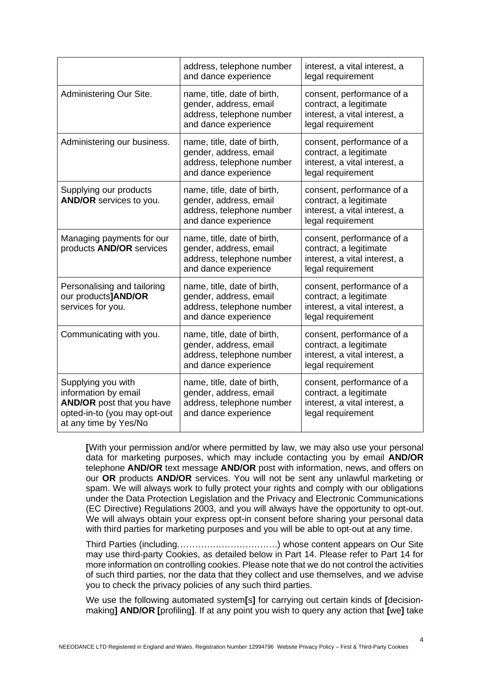|                                                                                                                                         | address, telephone number<br>and dance experience                                                          | interest, a vital interest, a<br>legal requirement                                                        |
|-----------------------------------------------------------------------------------------------------------------------------------------|------------------------------------------------------------------------------------------------------------|-----------------------------------------------------------------------------------------------------------|
| Administering Our Site.                                                                                                                 | name, title, date of birth,<br>gender, address, email<br>address, telephone number<br>and dance experience | consent, performance of a<br>contract, a legitimate<br>interest, a vital interest, a<br>legal requirement |
| Administering our business.                                                                                                             | name, title, date of birth,<br>gender, address, email<br>address, telephone number<br>and dance experience | consent, performance of a<br>contract, a legitimate<br>interest, a vital interest, a<br>legal requirement |
| Supplying our products<br><b>AND/OR</b> services to you.                                                                                | name, title, date of birth,<br>gender, address, email<br>address, telephone number<br>and dance experience | consent, performance of a<br>contract, a legitimate<br>interest, a vital interest, a<br>legal requirement |
| Managing payments for our<br>products <b>AND/OR</b> services                                                                            | name, title, date of birth,<br>gender, address, email<br>address, telephone number<br>and dance experience | consent, performance of a<br>contract, a legitimate<br>interest, a vital interest, a<br>legal requirement |
| Personalising and tailoring<br>our products]AND/OR<br>services for you.                                                                 | name, title, date of birth,<br>gender, address, email<br>address, telephone number<br>and dance experience | consent, performance of a<br>contract, a legitimate<br>interest, a vital interest, a<br>legal requirement |
| Communicating with you.                                                                                                                 | name, title, date of birth,<br>gender, address, email<br>address, telephone number<br>and dance experience | consent, performance of a<br>contract, a legitimate<br>interest, a vital interest, a<br>legal requirement |
| Supplying you with<br>information by email<br><b>AND/OR</b> post that you have<br>opted-in-to (you may opt-out<br>at any time by Yes/No | name, title, date of birth,<br>gender, address, email<br>address, telephone number<br>and dance experience | consent, performance of a<br>contract, a legitimate<br>interest, a vital interest, a<br>legal requirement |

**[**With your permission and/or where permitted by law, we may also use your personal data for marketing purposes, which may include contacting you by email **AND/OR**  telephone **AND/OR** text message **AND/OR** post with information, news, and offers on our **OR** products **AND/OR** services. You will not be sent any unlawful marketing or spam. We will always work to fully protect your rights and comply with our obligations under the Data Protection Legislation and the Privacy and Electronic Communications (EC Directive) Regulations 2003, and you will always have the opportunity to opt-out. We will always obtain your express opt-in consent before sharing your personal data with third parties for marketing purposes and you will be able to opt-out at any time.

Third Parties (including…………………………….) whose content appears on Our Site may use third-party Cookies, as detailed below in Part 14. Please refer to Part 14 for more information on controlling cookies. Please note that we do not control the activities of such third parties, nor the data that they collect and use themselves, and we advise you to check the privacy policies of any such third parties.

We use the following automated system**[**s**]** for carrying out certain kinds of **[**decisionmaking**] AND/OR [**profiling**]**. If at any point you wish to query any action that **[**we**]** take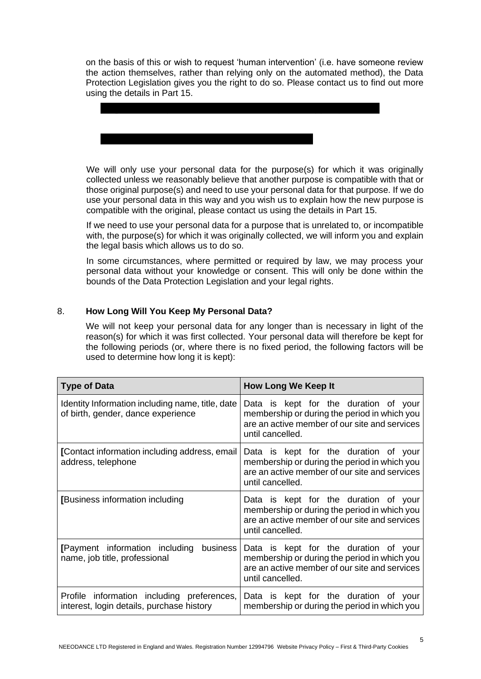on the basis of this or wish to request 'human intervention' (i.e. have someone review the action themselves, rather than relying only on the automated method), the Data Protection Legislation gives you the right to do so. Please contact us to find out more using the details in Part 15.



We will only use your personal data for the purpose(s) for which it was originally collected unless we reasonably believe that another purpose is compatible with that or those original purpose(s) and need to use your personal data for that purpose. If we do use your personal data in this way and you wish us to explain how the new purpose is compatible with the original, please contact us using the details in Part 15.

If we need to use your personal data for a purpose that is unrelated to, or incompatible with, the purpose(s) for which it was originally collected, we will inform you and explain the legal basis which allows us to do so.

In some circumstances, where permitted or required by law, we may process your personal data without your knowledge or consent. This will only be done within the bounds of the Data Protection Legislation and your legal rights.

# 8. **How Long Will You Keep My Personal Data?**

We will not keep your personal data for any longer than is necessary in light of the reason(s) for which it was first collected. Your personal data will therefore be kept for the following periods (or, where there is no fixed period, the following factors will be used to determine how long it is kept):

| <b>Type of Data</b>                                                                     | <b>How Long We Keep It</b>                                                                                                                                 |  |
|-----------------------------------------------------------------------------------------|------------------------------------------------------------------------------------------------------------------------------------------------------------|--|
| Identity Information including name, title, date<br>of birth, gender, dance experience  | Data is kept for the duration of your<br>membership or during the period in which you<br>are an active member of our site and services<br>until cancelled. |  |
| [Contact information including address, email<br>address, telephone                     | Data is kept for the duration of your<br>membership or during the period in which you<br>are an active member of our site and services<br>until cancelled. |  |
| [Business information including                                                         | Data is kept for the duration of your<br>membership or during the period in which you<br>are an active member of our site and services<br>until cancelled. |  |
| [Payment information including<br>business<br>name, job title, professional             | Data is kept for the duration of your<br>membership or during the period in which you<br>are an active member of our site and services<br>until cancelled. |  |
| Profile information including preferences,<br>interest, login details, purchase history | Data is kept for the duration of your<br>membership or during the period in which you                                                                      |  |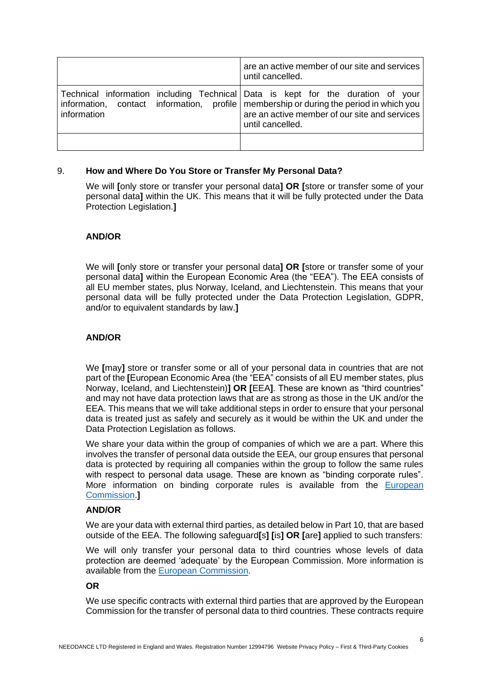|                                                                                                | are an active member of our site and services<br>until cancelled.                                                                                           |
|------------------------------------------------------------------------------------------------|-------------------------------------------------------------------------------------------------------------------------------------------------------------|
| Technical information including Technical Data is kept for the duration of your<br>information | information, contact information, profile membership or during the period in which you<br>are an active member of our site and services<br>until cancelled. |
|                                                                                                |                                                                                                                                                             |

# 9. **How and Where Do You Store or Transfer My Personal Data?**

We will **[**only store or transfer your personal data**] OR [**store or transfer some of your personal data**]** within the UK. This means that it will be fully protected under the Data Protection Legislation.**]**

### **AND/OR**

We will **[**only store or transfer your personal data**] OR [**store or transfer some of your personal data**]** within the European Economic Area (the "EEA"). The EEA consists of all EU member states, plus Norway, Iceland, and Liechtenstein. This means that your personal data will be fully protected under the Data Protection Legislation, GDPR, and/or to equivalent standards by law.**]**

### **AND/OR**

We **[**may**]** store or transfer some or all of your personal data in countries that are not part of the **[**European Economic Area (the "EEA" consists of all EU member states, plus Norway, Iceland, and Liechtenstein)**] OR [**EEA**]**. These are known as "third countries" and may not have data protection laws that are as strong as those in the UK and/or the EEA. This means that we will take additional steps in order to ensure that your personal data is treated just as safely and securely as it would be within the UK and under the Data Protection Legislation as follows.

We share your data within the group of companies of which we are a part. Where this involves the transfer of personal data outside the EEA, our group ensures that personal data is protected by requiring all companies within the group to follow the same rules with respect to personal data usage. These are known as "binding corporate rules". More information on binding corporate rules is available from the [European](https://ec.europa.eu/info/law/law-topic/data-protection/data-transfers-outside-eu/binding-corporate-rules_en)  [Commission.](https://ec.europa.eu/info/law/law-topic/data-protection/data-transfers-outside-eu/binding-corporate-rules_en)**]**

#### **AND/OR**

We are your data with external third parties, as detailed below in Part 10, that are based outside of the EEA. The following safeguard**[**s**] [**is**] OR [**are**]** applied to such transfers:

We will only transfer your personal data to third countries whose levels of data protection are deemed 'adequate' by the European Commission. More information is available from the [European Commission.](https://ec.europa.eu/info/law/law-topic/data-protection/data-transfers-outside-eu/adequacy-protection-personal-data-non-eu-countries_en)

#### **OR**

We use specific contracts with external third parties that are approved by the European Commission for the transfer of personal data to third countries. These contracts require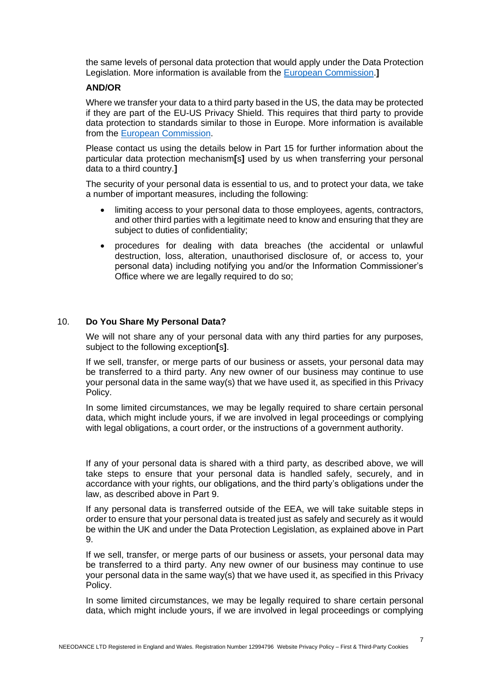the same levels of personal data protection that would apply under the Data Protection Legislation. More information is available from the [European Commission.](https://ec.europa.eu/info/law/law-topic/data-protection/data-transfers-outside-eu/model-contracts-transfer-personal-data-third-countries_en)**]**

# **AND/OR**

Where we transfer your data to a third party based in the US, the data may be protected if they are part of the EU-US Privacy Shield. This requires that third party to provide data protection to standards similar to those in Europe. More information is available from the [European Commission.](https://ec.europa.eu/info/law/law-topic/data-protection/data-transfers-outside-eu/eu-us-privacy-shield_en)

Please contact us using the details below in Part 15 for further information about the particular data protection mechanism**[**s**]** used by us when transferring your personal data to a third country.**]**

The security of your personal data is essential to us, and to protect your data, we take a number of important measures, including the following:

- limiting access to your personal data to those employees, agents, contractors, and other third parties with a legitimate need to know and ensuring that they are subject to duties of confidentiality;
- procedures for dealing with data breaches (the accidental or unlawful destruction, loss, alteration, unauthorised disclosure of, or access to, your personal data) including notifying you and/or the Information Commissioner's Office where we are legally required to do so;

# 10. **Do You Share My Personal Data?**

We will not share any of your personal data with any third parties for any purposes, subject to the following exception**[**s**]**.

If we sell, transfer, or merge parts of our business or assets, your personal data may be transferred to a third party. Any new owner of our business may continue to use your personal data in the same way(s) that we have used it, as specified in this Privacy Policy.

In some limited circumstances, we may be legally required to share certain personal data, which might include yours, if we are involved in legal proceedings or complying with legal obligations, a court order, or the instructions of a government authority.

If any of your personal data is shared with a third party, as described above, we will take steps to ensure that your personal data is handled safely, securely, and in accordance with your rights, our obligations, and the third party's obligations under the law, as described above in Part 9.

If any personal data is transferred outside of the EEA, we will take suitable steps in order to ensure that your personal data is treated just as safely and securely as it would be within the UK and under the Data Protection Legislation, as explained above in Part 9.

If we sell, transfer, or merge parts of our business or assets, your personal data may be transferred to a third party. Any new owner of our business may continue to use your personal data in the same way(s) that we have used it, as specified in this Privacy Policy.

In some limited circumstances, we may be legally required to share certain personal data, which might include yours, if we are involved in legal proceedings or complying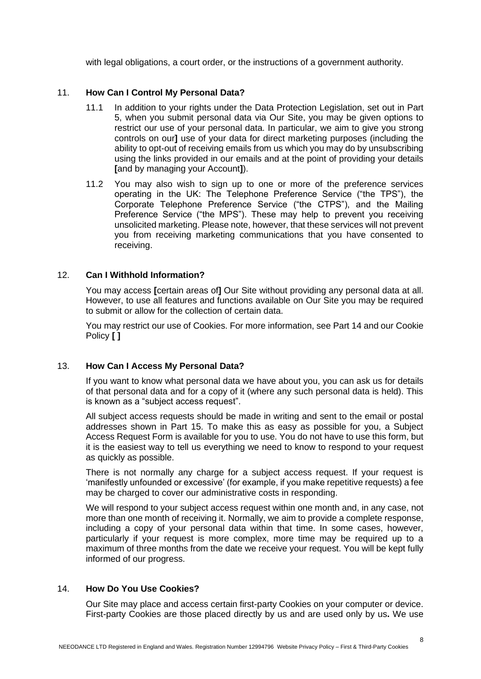with legal obligations, a court order, or the instructions of a government authority.

# 11. **How Can I Control My Personal Data?**

- 11.1 In addition to your rights under the Data Protection Legislation, set out in Part 5, when you submit personal data via Our Site, you may be given options to restrict our use of your personal data. In particular, we aim to give you strong controls on our**]** use of your data for direct marketing purposes (including the ability to opt-out of receiving emails from us which you may do by unsubscribing using the links provided in our emails and at the point of providing your details **[**and by managing your Account**]**).
- 11.2 You may also wish to sign up to one or more of the preference services operating in the UK: The Telephone Preference Service ("the TPS"), the Corporate Telephone Preference Service ("the CTPS"), and the Mailing Preference Service ("the MPS"). These may help to prevent you receiving unsolicited marketing. Please note, however, that these services will not prevent you from receiving marketing communications that you have consented to receiving.

# 12. **Can I Withhold Information?**

You may access **[**certain areas of**]** Our Site without providing any personal data at all. However, to use all features and functions available on Our Site you may be required to submit or allow for the collection of certain data.

You may restrict our use of Cookies. For more information, see Part 14 and our Cookie Policy **[ ]**

# 13. **How Can I Access My Personal Data?**

If you want to know what personal data we have about you, you can ask us for details of that personal data and for a copy of it (where any such personal data is held). This is known as a "subject access request".

All subject access requests should be made in writing and sent to the email or postal addresses shown in Part 15. To make this as easy as possible for you, a Subject Access Request Form is available for you to use. You do not have to use this form, but it is the easiest way to tell us everything we need to know to respond to your request as quickly as possible.

There is not normally any charge for a subject access request. If your request is 'manifestly unfounded or excessive' (for example, if you make repetitive requests) a fee may be charged to cover our administrative costs in responding.

We will respond to your subject access request within one month and, in any case, not more than one month of receiving it. Normally, we aim to provide a complete response, including a copy of your personal data within that time. In some cases, however, particularly if your request is more complex, more time may be required up to a maximum of three months from the date we receive your request. You will be kept fully informed of our progress.

# 14. **How Do You Use Cookies?**

Our Site may place and access certain first-party Cookies on your computer or device. First-party Cookies are those placed directly by us and are used only by us**.** We use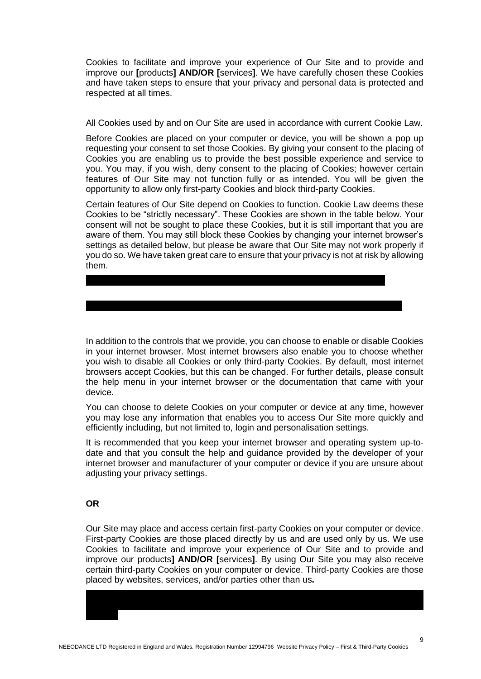Cookies to facilitate and improve your experience of Our Site and to provide and improve our **[**products**] AND/OR [**services**]**. We have carefully chosen these Cookies and have taken steps to ensure that your privacy and personal data is protected and respected at all times.

All Cookies used by and on Our Site are used in accordance with current Cookie Law.

Before Cookies are placed on your computer or device, you will be shown a pop up requesting your consent to set those Cookies. By giving your consent to the placing of Cookies you are enabling us to provide the best possible experience and service to you. You may, if you wish, deny consent to the placing of Cookies; however certain features of Our Site may not function fully or as intended. You will be given the opportunity to allow only first-party Cookies and block third-party Cookies.

Certain features of Our Site depend on Cookies to function. Cookie Law deems these Cookies to be "strictly necessary". These Cookies are shown in the table below. Your consent will not be sought to place these Cookies, but it is still important that you are aware of them. You may still block these Cookies by changing your internet browser's settings as detailed below, but please be aware that Our Site may not work properly if you do so. We have taken great care to ensure that your privacy is not at risk by allowing them.

In addition to the controls that we provide, you can choose to enable or disable Cookies in your internet browser. Most internet browsers also enable you to choose whether you wish to disable all Cookies or only third-party Cookies. By default, most internet browsers accept Cookies, but this can be changed. For further details, please consult the help menu in your internet browser or the documentation that came with your device.

You can choose to delete Cookies on your computer or device at any time, however you may lose any information that enables you to access Our Site more quickly and efficiently including, but not limited to, login and personalisation settings.

It is recommended that you keep your internet browser and operating system up-todate and that you consult the help and guidance provided by the developer of your internet browser and manufacturer of your computer or device if you are unsure about adjusting your privacy settings.

# **OR**

Our Site may place and access certain first-party Cookies on your computer or device. First-party Cookies are those placed directly by us and are used only by us. We use Cookies to facilitate and improve your experience of Our Site and to provide and improve our products**] AND/OR [**services**]**. By using Our Site you may also receive certain third-party Cookies on your computer or device. Third-party Cookies are those placed by websites, services, and/or parties other than us**.** 

Third-party Cookies are used on  $\mathcal{C}$  are used on  $\mathcal{C}$  this for third-party description of  $\mathcal{C}$ cookies>>. For more details, please refer to **[**our**] OR [**my**]** Cookie Policy <<Insert